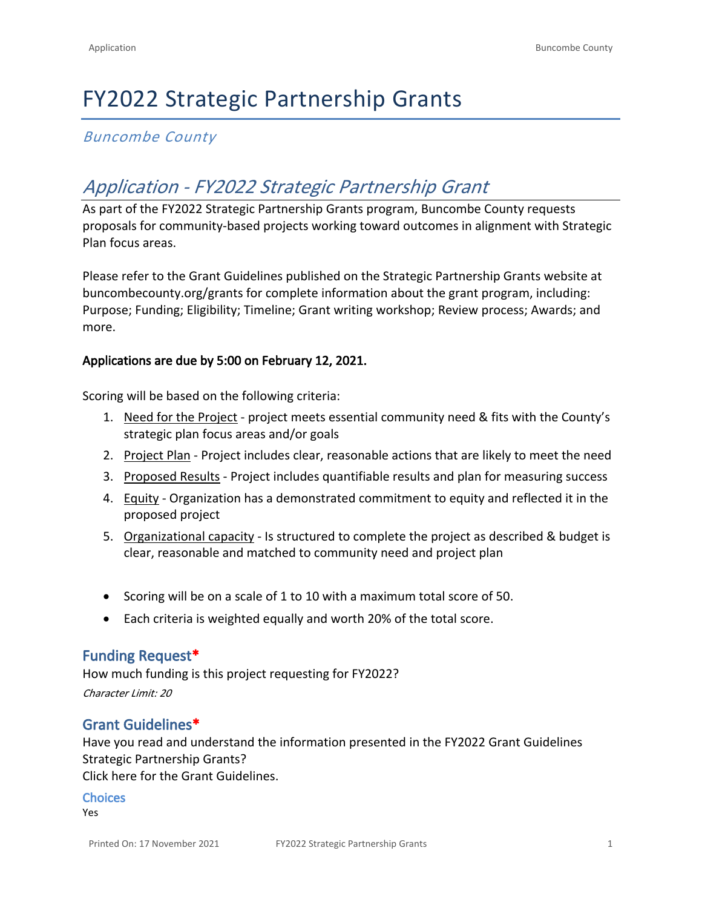# FY2022 Strategic Partnership Grants

# *Buncombe County*

# *Application - FY2022 Strategic Partnership Grant*

As part of the FY2022 Strategic Partnership Grants program, Buncombe County requests proposals for community-based projects working toward outcomes in alignment with Strategic Plan focus areas.

Please refer to the Grant Guidelines published on the Strategic Partnership Grants website at [buncombecounty.org/grants](http://www.buncombecounty.org/grants) for complete information about the grant program, including: Purpose; Funding; Eligibility; Timeline; Grant writing workshop; Review process; Awards; and more.

#### **Applications are due by 5:00 on February 12, 2021.**

Scoring will be based on the following criteria:

- 1. Need for the Project project meets essential community need & fits with the County's strategic plan focus areas and/or goals
- 2. Project Plan Project includes clear, reasonable actions that are likely to meet the need
- 3. Proposed Results Project includes quantifiable results and plan for measuring success
- 4. Equity Organization has a demonstrated commitment to equity and reflected it in the proposed project
- 5. Organizational capacity Is structured to complete the project as described & budget is clear, reasonable and matched to community need and project plan
- Scoring will be on a scale of 1 to 10 with a maximum total score of 50.
- Each criteria is weighted equally and worth 20% of the total score.

#### **Funding Request\***

How much funding is this project requesting for FY2022? *Character Limit: 20*

#### **Grant Guidelines\***

Have you read and understand the information presented in the FY2022 Grant Guidelines Strategic Partnership Grants?

[Click here for the Grant Guidelines.](https://www.buncombecounty.org/common/community-investment/grants/strategic-partnership/grant-guidelines.pdf)

#### **Choices**

Yes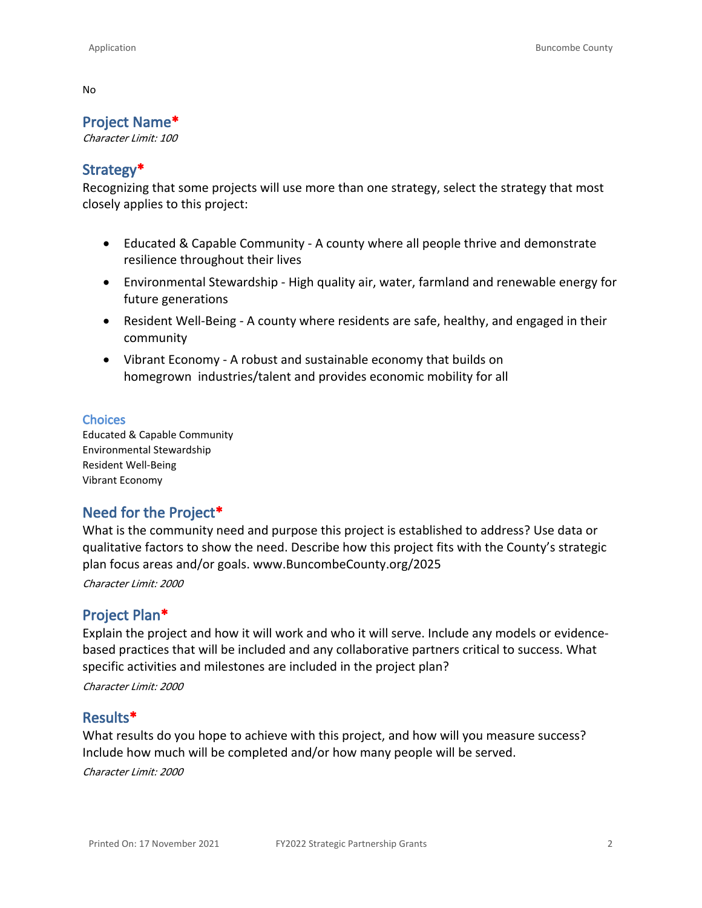No

## **Project Name\***

*Character Limit: 100*

### **Strategy\***

Recognizing that some projects will use more than one strategy, select the strategy that most closely applies to this project:

- Educated & Capable Community A county where all people thrive and demonstrate resilience throughout their lives
- Environmental Stewardship High quality air, water, farmland and renewable energy for future generations
- Resident Well-Being A county where residents are safe, healthy, and engaged in their community
- Vibrant Economy A robust and sustainable economy that builds on homegrown industries/talent and provides economic mobility for all

#### **Choices**

Educated & Capable Community Environmental Stewardship Resident Well-Being Vibrant Economy

# **Need for the Project\***

What is the community need and purpose this project is established to address? Use data or qualitative factors to show the need. Describe how this project fits with the County's strategic plan focus areas and/or goals. [www.BuncombeCounty.org/2025](http://www.buncombecounty.org/2025)

*Character Limit: 2000*

# **Project Plan\***

Explain the project and how it will work and who it will serve. Include any models or evidencebased practices that will be included and any collaborative partners critical to success. What specific activities and milestones are included in the project plan?

*Character Limit: 2000*

#### **Results\***

What results do you hope to achieve with this project, and how will you measure success? Include how much will be completed and/or how many people will be served.

*Character Limit: 2000*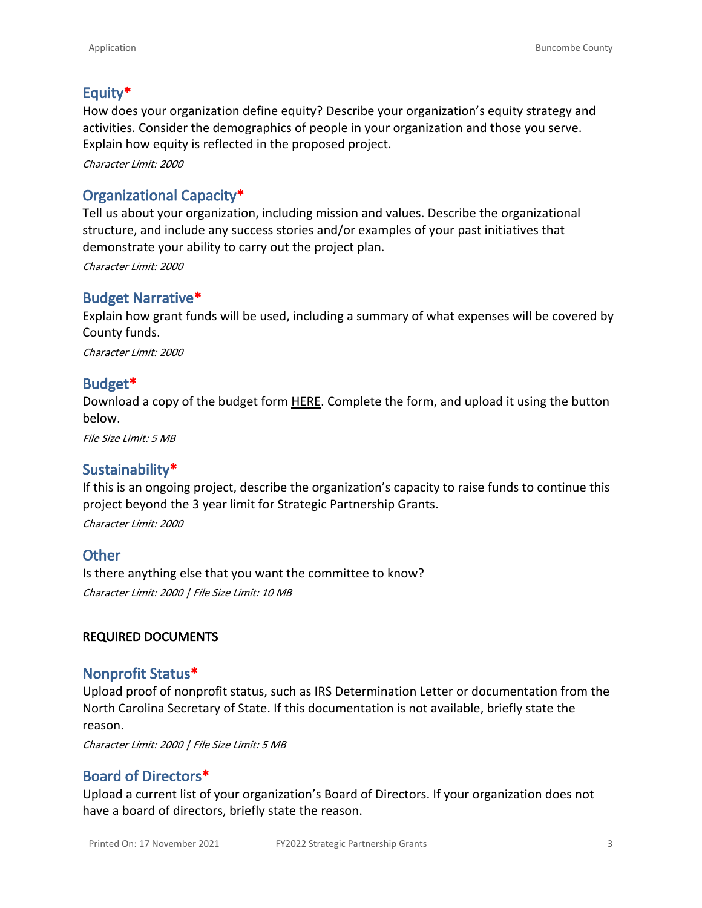# **Equity\***

How does your organization define equity? Describe your organization's equity strategy and activities. Consider the demographics of people in your organization and those you serve. Explain how equity is reflected in the proposed project.

*Character Limit: 2000*

# **Organizational Capacity\***

Tell us about your organization, including mission and values. Describe the organizational structure, and include any success stories and/or examples of your past initiatives that demonstrate your ability to carry out the project plan.

*Character Limit: 2000*

# **Budget Narrative\***

Explain how grant funds will be used, including a summary of what expenses will be covered by County funds.

*Character Limit: 2000*

# **Budget\***

Download a copy of the budget form [HERE.](https://buncombecounty.org/common/community-investment/grants/strategic-partnership/strategic-partnership-grants-FY2022-budget-template.xlsx) Complete the form, and upload it using the button below.

*File Size Limit: 5 MB*

# **Sustainability\***

If this is an ongoing project, describe the organization's capacity to raise funds to continue this project beyond the 3 year limit for Strategic Partnership Grants.

*Character Limit: 2000*

# **Other**

Is there anything else that you want the committee to know? *Character Limit: 2000 | File Size Limit: 10 MB*

#### **REQUIRED DOCUMENTS**

# **Nonprofit Status\***

Upload proof of nonprofit status, such as IRS Determination Letter or documentation from the North Carolina Secretary of State. If this documentation is not available, briefly state the reason.

*Character Limit: 2000 | File Size Limit: 5 MB*

# **Board of Directors\***

Upload a current list of your organization's Board of Directors. If your organization does not have a board of directors, briefly state the reason.